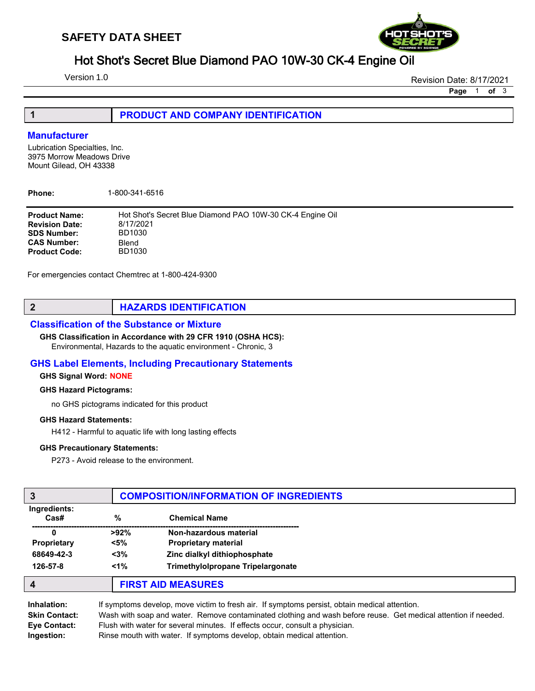

# Hot Shot's Secret Blue Diamond PAO 10W-30 CK-4 Engine Oil

Version 1.0

Revision Date: 8/17/2021

Page 1 of 3

| <b>PRODUCT AND COMPANY IDENTIFICATION</b> |
|-------------------------------------------|
|                                           |

## **Manufacturer**

Lubrication Specialties, Inc. 3975 Morrow Meadows Drive Mount Gilead, OH 43338

Phone: 1-800-341-6516

| Hot Shot's Secret Blue Diamond PAO 10W-30 CK-4 Engine Oil |
|-----------------------------------------------------------|
| 8/17/2021                                                 |
| BD1030                                                    |
| Blend                                                     |
| BD1030                                                    |
|                                                           |

For emergencies contact Chemtrec at 1-800-424-9300

## 2 **HAZARDS IDENTIFICATION**

## Classification of the Substance or Mixture

#### GHS Classification in Accordance with 29 CFR 1910 (OSHA HCS):

Environmental, Hazards to the aquatic environment - Chronic, 3

## GHS Label Elements, Including Precautionary Statements

#### GHS Signal Word: NONE

#### GHS Hazard Pictograms:

no GHS pictograms indicated for this product

#### GHS Hazard Statements:

H412 - Harmful to aquatic life with long lasting effects

#### GHS Precautionary Statements:

P273 - Avoid release to the environment.

| 3                                |         | <b>COMPOSITION/INFORMATION OF INGREDIENTS</b> |  |
|----------------------------------|---------|-----------------------------------------------|--|
| Ingredients:<br>$\textsf{Cas}\#$ | $\%$    | <b>Chemical Name</b>                          |  |
| 0                                | $>92\%$ | Non-hazardous material                        |  |
| <b>Proprietary</b>               | $<$ 5%  | <b>Proprietary material</b>                   |  |
| 68649-42-3                       | $3%$    | Zinc dialkyl dithiophosphate                  |  |
| 126-57-8                         | $< 1\%$ | <b>Trimethylolpropane Tripelargonate</b>      |  |
| $\boldsymbol{4}$                 |         | <b>FIRST AID MEASURES</b>                     |  |
|                                  |         |                                               |  |

| Inhalation:          | If symptoms develop, move victim to fresh air. If symptoms persist, obtain medical attention.                  |
|----------------------|----------------------------------------------------------------------------------------------------------------|
| <b>Skin Contact:</b> | Wash with soap and water. Remove contaminated clothing and wash before reuse. Get medical attention if needed. |
| Eye Contact:         | Flush with water for several minutes. If effects occur, consult a physician.                                   |
| Ingestion:           | Rinse mouth with water. If symptoms develop, obtain medical attention.                                         |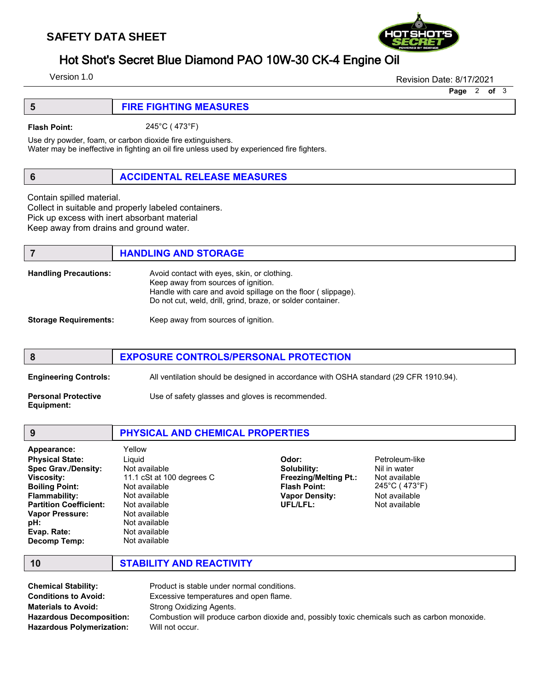# **SAFETY DATA SHEET**



Version 1.0

Revision Date: 8/17/2021

Page 2 of 3

| <b>FIRE FIGHTING MEASURES</b> |
|-------------------------------|
|                               |

Flash Point: 245°C ( 473°F)

Use dry powder, foam, or carbon dioxide fire extinguishers.

Water may be ineffective in fighting an oil fire unless used by experienced fire fighters.

## 6 ACCIDENTAL RELEASE MEASURES

Contain spilled material.

Collect in suitable and properly labeled containers. Pick up excess with inert absorbant material Keep away from drains and ground water.

# **7 HANDLING AND STORAGE**

| <b>Handling Precautions:</b> | Avoid contact with eyes, skin, or clothing.<br>Keep away from sources of ignition.<br>Handle with care and avoid spillage on the floor (slippage).<br>Do not cut, weld, drill, grind, braze, or solder container. |
|------------------------------|-------------------------------------------------------------------------------------------------------------------------------------------------------------------------------------------------------------------|
| <b>Storage Requirements:</b> | Keep away from sources of ignition.                                                                                                                                                                               |

# 8 EXPOSURE CONTROLS/PERSONAL PROTECTION Engineering Controls: All ventilation should be designed in accordance with OSHA standard (29 CFR 1910.94). **Personal Protective** Use of safety glasses and gloves is recommended. Equipment:

| 9                                                                                                                                                                                                                                          | PHYSICAL AND CHEMICAL PROPERTIES                                                                                                                                                      |                                                                                                                  |                                                                                                    |  |
|--------------------------------------------------------------------------------------------------------------------------------------------------------------------------------------------------------------------------------------------|---------------------------------------------------------------------------------------------------------------------------------------------------------------------------------------|------------------------------------------------------------------------------------------------------------------|----------------------------------------------------------------------------------------------------|--|
| Appearance:<br><b>Physical State:</b><br><b>Spec Grav./Density:</b><br><b>Viscosity:</b><br><b>Boiling Point:</b><br><b>Flammability:</b><br><b>Partition Coefficient:</b><br><b>Vapor Pressure:</b><br>pH:<br>Evap. Rate:<br>Decomp Temp: | Yellow<br>Liguid<br>Not available<br>11.1 cSt at 100 degrees C<br>Not available<br>Not available<br>Not available<br>Not available<br>Not available<br>Not available<br>Not available | Odor:<br>Solubility:<br><b>Freezing/Melting Pt.:</b><br><b>Flash Point:</b><br><b>Vapor Density:</b><br>UFL/LFL: | Petroleum-like<br>Nil in water<br>Not available<br>245°C (473°F)<br>Not available<br>Not available |  |

10 STABILITY AND REACTIVITY

| <b>Chemical Stability:</b>       | Product is stable under normal conditions.                                                    |
|----------------------------------|-----------------------------------------------------------------------------------------------|
| <b>Conditions to Avoid:</b>      | Excessive temperatures and open flame.                                                        |
| <b>Materials to Avoid:</b>       | Strong Oxidizing Agents.                                                                      |
| <b>Hazardous Decomposition:</b>  | Combustion will produce carbon dioxide and, possibly toxic chemicals such as carbon monoxide. |
| <b>Hazardous Polymerization:</b> | Will not occur.                                                                               |